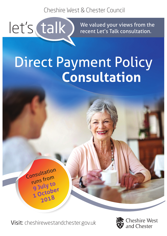Cheshire West & Chester Council

let's talk

We valued your views from the recent Let's Talk consultation.

# Direct Payment Policy **Consultation**

Visit: cheshirewestandchester.gov.uk

Consultation

runs from

**<sup>9</sup> July to**

**1 October 2018**

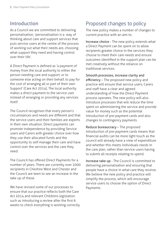## Introduction

As a Council we are committed to delivering personalisation, 'personalisation is a way of thinking about care and support services that puts service users at the centre of the process of working out what their needs are, choosing what support they need and having control over their life'.

A Direct Payment is defined as 'a payment of money from the local authority to either the person needing care and support, or to someone else acting on their behalf, to pay for the cost of arranging all or part of their own Support' (Care Act 2014). The local authority makes a direct payment to the service user instead of arranging or providing any services itself.

The Council recognises that every person's circumstances and needs are different and that the service users and their families are experts in their own situation. Direct payments can promote independence by providing Service users and Carers with greater choice over how they use their allocated funds and the opportunity to self-manage their care and have control over the services and the care they need.

The Council has offered Direct Payments for a number of years. There are currently over 2000 recipients in Cheshire West and Chester and the Council are keen to see an increase in the take up of these.

We have revised some of our processes to ensure that our practice reflects both the Care Act 2014 and relevant Childrens legislation such as introducing a review after the first 6 weeks to check everything is working correctly.

## Proposed changes to policy

The new policy makes a number of changes to current practice with an aim to:

Increase choice - The new policy extends what a Direct Payment can be spent on to allow recipients greater choice in the services they choose to meet their care needs and ensure outcomes identified in the support plan can be met creatively without the reliance on traditional services.

Smooth processes, increase clarity and efficiency – The proposed new policy and practice will ensure that service users, Carers and staff have a clear and agreed understanding of how the Direct Payment process operates. The new policy will also introduce processes that will reduce the time spent on administering the service and provide value for money such as the potential introduction of pre-payment cards and also changes to contingency payments.

Reduce bureaucracy – The proposed introduction of pre-payment cards means that financial audits can be more light touch as the council will already have a view of expenditure and whether this meets individuals needs in the care plan, rather than service users having to submit all receipts relating to spend.

Increase take up - The Council is committed to delivering personalisation and ensuring that people have a choice in what care they receive. We believe the new policy and practice will simplify the process, which will encourage service users to choose the option of Direct Payments.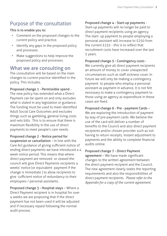## Purpose of the consultation

#### This is to enable you to:

- Comment on the proposed changes to the current policy and practice.
- Identify any gaps in the proposed policy and processes.
- Make suggestions to help improve the proposed policy and processes.

#### What we are consulting on

The consultation will be based on the main changes to current practice identified in the policy. This includes.

Proposed change 1 - Permissible spend -

The new policy has extended what a Direct Payment can be spent on and only excludes what is stated in any legislation or guidance. The funding must be used to meet identified Adult Social Care Outcomes and excludes things such as gambling, general living costs and vets bills. This is to ensure that there is maximum flexibility in the use of direct payments to meet people's care needs.

Proposed change 2 - Notice period for suspension or cancellation – In line with the Care Act guidance of giving sufficient notice of ending direct payments we have introduced a 4 week notice period. This means that where direct payment are removed or ceased the council will give Direct Payments recipients 4 weeks' notice (or equivalent payment if the change is immediate ) to allow recipients to give sufficient notice of redundancy to their employees / personal assistants.

Proposed change 3 - Hospital stays – Where a Direct Payment recipient is in hospital for over 4 weeks we are proposing that if the direct payment has not been used it will be adjusted and if necessary repaid following the normal audit process.

#### Proposed change 4 - Start-up payments -

Start-up payments will no longer be paid to direct payment recipients using an agency. The start- up payment to people employing a personal assistant will increase to £250 from the current £232 - this is to reflect that recruitment costs have increased over the last 5 years.

Proposed change 5 - Contingency costs - We currently give all direct payment recipients an amount of money to cover unexpected circumstances such as staff sickness cover. In future we will only be making a contingency payment to people who employ a personal assistant as payment in advance, it is not felt necessary to make a contingency payment to those using an agency as expenditure in these cases are fixed.

Proposed change 6 - Pre - payment Cards – We are exploring the introduction of payment by way of pre-payment cards. We believe the use of the card will deliver a number of benefits to the Council and also direct payment recipients and/or chosen provider such as not having to return receipts, instant adjustment to payments and the ability to complete financial audits online.

Proposed change 7 - Direct Payment agreement - We have made significant changes to the written agreement between the direct payment recipient and the Council. The new agreement clearly states the reporting requirements and also the responsibilities of direct payment recipients. *Please refer to the Appendix for a copy of the current agreement.*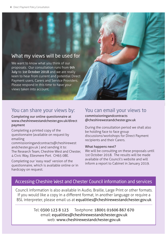#### What my views will be used for

We want to know what you think of our proposals. Our consultation runs from 9th July to 1st October 2018 and we are really keen to hear from current and potential Direct Payment users, Carers and Service Providers. Please respond in this time to have your views taken into account.

## You can share your views by:

#### Completing our online questionnaire at www.cheshirewestandchester.gov.uk/direct payment

Completing a printed copy of the questionnaire (available on request by emailing

commissioningandcontracts@cheshirewest andchester.gov.uk ) and sending it to: The Research Team, Cheshire West and Chester, 4 Civic Way, Ellesmere Port. CH65 0BE.

Completing our 'easy read' version of the questionnaire, which is available online or in hardcopy on request.

## You can email your views to

commissioningandcontracts @cheshirewestandchester.gov.uk

During the consultation period we shall also be holding face to face group discussions/workshops for Direct Payment recipients and their Carers.

#### What happens next?

We will be consulting on these proposals until 1st October 2018. The results will be made available of the Council's website and will inform a report to Cabinet in January 2019.

#### Accessing Cheshire West and Chester Council information and services

Council information is also available in Audio, Braille, Large Print or other formats. If you would like a copy in a different format, in another language or require a BSL interpreter, please email us at equalities@cheshirewestandchester.gov.uk

> Tel: 0300 123 8 123 Textphone: 18001 01606 867 670 email: equalities@cheshirewestandchester.gov.uk web: www.cheshirewestandchester.gov.uk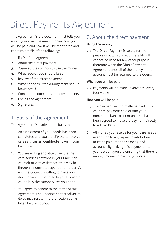## Direct Payments Agreement

This Agreement is the document that tells you about your direct payment money, how you will be paid and how it will be monitored and contains details of the following:

- 1. Basis of the Agreement
- 2. About the direct payment
- 3. General rules on how to use the money
- 4. What records you should keep
- 5. Review of the direct payment
- 6. What happens if the arrangement should breakdown?
- 7. Comments, complaints and compliments
- 8. Ending the Agreement
- 9. Signatures

## 1. Basis of the Agreement

This Agreement is made on the basis that:

- 1.1 An assessment of your needs has been completed and you are eligible to receive care services as identified/shown in your Care Plan.
- 1.2 You are willing and able to secure the care/services detailed in your Care Plan yourself or with assistance (this may be through a nominated agent or third party), and the Council is willing to make your direct payment available to you to enable you to buy the care/services you need.
- 1.3 You agree to adhere to the terms of this Agreement, and understand that failure to do so may result in further action being taken by the Council.

#### 2. About the direct payment

#### Using the money

2.1 The Direct Payment is solely for the purposes outlined in your Care Plan. It cannot be used for any other purpose, therefore when the Direct Payment Agreement ends all of the money in the account must be returned to the Council.

#### When you will be paid

2.2 Payments will be made in advance, every four weeks.

#### How you will be paid

- 2.3 The payment will normally be paid onto your pre-payment card or into your nominated bank account unless it has been agreed to make the payment directly to a Third Party.
- 2.4 All money you receive for your care needs, in addition to any agreed contribution, must be paid into the same agreed account. . By making this payment into your account you are ensuring that there is enough money to pay for your care.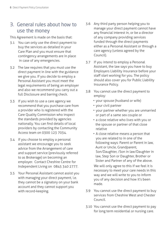### 3. General rules about how to use the money

This Agreement is made on the basis that:

- 3.1 You can only use the direct payment to buy the services as detailed in your Care Plan and you must ensure that contingency arrangements are in place in case of any emergencies.
- 3.2 The law requires that you must use the direct payment in line with the guidance we give you. If you decide to employ a Personal Assistant you must meet the legal requirements of being an employer and also we recommend you carry out a full Disclosure and barring check.
- 3.3 If you wish to use a care agency we recommend that you purchase care from a provider who is registered with the Care Quality Commission who inspect the standards provided by agencies nationally. You can find details of local providers by contacting the Community Access team on 0300 123 7034.
- 3.4 If you choose to employ a personal assistant we encourage you to seek advice from the Arrangement of care and support service (previously referred to as Brokerage) on becoming an employer. Contact Cheshire Centre for Independent Living on 0845 340 2777.
- 3.5 Your Personal Assistant cannot assist you with managing your direct payment, i.e. they cannot be a signatory on your bank account and they cannot support you with record-keeping.
- 3.6 Any third party person helping you to manage your direct payment cannot have any financial interest in, or be a director of any company providing services funded through the direct payments either as a Personal Assistant or through a care agency (unless agreed by the Council).
- 3.7 If you intend to employ a Personal Assistant, the law says you have to buy Employers Liability insurance before your staff start working for you. The policy should also cover you for Public Liability Insurance Policy.
- 3.8 You cannot use the direct payment to employ:
	- your spouse (husband or wife)
	- your civil partner
	- your partner whether you are unmarried or part of a same sex couple or
	- a close relative who lives with you or the spouse or partner of that close relative
	- A close relative means a person that you are related to in one of the following ways: Parent or Parent in law, Aunt or Uncle, Grandparent, Son/Daughter, /Son in law/Daughter in law, Step Son or Daughter, Brother or Sister and Partner of any of the above.

 We will only agree to this if we feel it is necessary to meet your care needs in this way and we will write to you to inform you of any decision and how it's been made.

- 3.9 You cannot use the direct payment to buy services from Cheshire West and Chester Council.
- 3.10 You cannot use the direct payment to pay for long term residential or nursing care.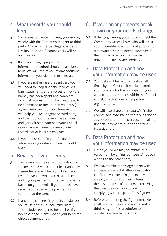#### 4. What records you should keep

- 4.1 You are responsible for using your money wisely with the Care of your agent or third party. Any bank charges, legal charges or HM Revenue and Customs costs will be your responsibility.
- 4.2 If you are using a prepaid card the information required should be available to us. We will inform you of any additional information you will need to send us.
- 4.3 If you are not using a prepaid card you will need to keep financial records, e.g. bank statements and invoices of how the money has been spent and complete financial returns forms which will need to be submitted to the Council regularly (as agreed with the Council). These records will help you, (your agent or third party) and the Council to review the services and your direct payment at your annual review. You will need to keep these records for at least seven years.
- 4.4 If you do not send in your financial information your direct payment could stop.

## 5. Review of your needs

- 5.1 The review will be carried out initially in the first 6 to 8 week and at least annually thereafter, and will help you look back over the year at what you have achieved and if your payment will remain the same based on your needs. If your needs have remained the same, the payment will continue at the same rate.
- 5.2 If anything changes in you circumstances you must let the Council immediately, this includes going into hospital or if your needs change in any way or your need for direct payment ends.

## 6. If your arrangements break down or your needs change

6.1 If things go wrong you should contact the Community Access Team who will assist you to identify other forms of support to meet your assessed needs. However, if this is unsatisfactory then we will try to provide the necessary services.

## 7. Data Protection and how your information may be used

- 7.1 Your data will be held securely at all times by the Council. It will be shared appropriately for the purposes of your welfare and care needs within the Council and also with any external partner organisations.
- 7.2 We will also share your data within the Council and external partners or agencies as appropriate for the purpose of making financial payments, audits and fraud investigation.

## 8. Data Protection and how your information may be used

- 8.1 Either you or we may terminate this Agreement by giving four weeks' notice in writing to the other party.
- 8.2 We may terminate this agreement with immediately effect if, after investigation, it is found you are using the money illegally or not in your best interests or the best interests of the person receiving the direct payment or you are not complying with any part of this Agreement.
- 8.3 Before terminating the Agreement, we shall work with you (and your agent or third party) to find a solution to the problems wherever possible.